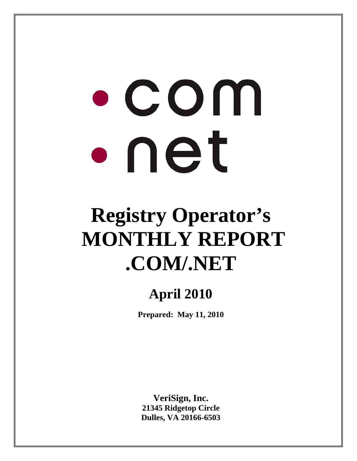# $\bullet$  COM  $\bullet$  net

## **Registry Operator's MONTHLY REPORT .COM/.NET**

### **April 2010**

**Prepared: May 11, 2010** 

**VeriSign, Inc. 21345 Ridgetop Circle Dulles, VA 20166-6503**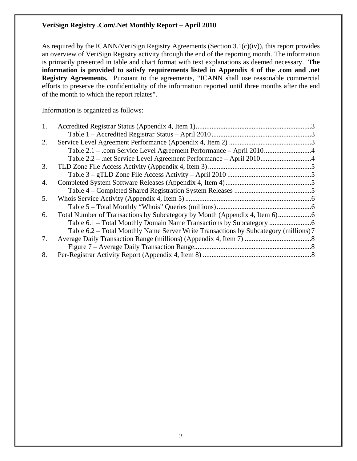As required by the ICANN/VeriSign Registry Agreements (Section 3.1(c)(iv)), this report provides an overview of VeriSign Registry activity through the end of the reporting month. The information is primarily presented in table and chart format with text explanations as deemed necessary. **The information is provided to satisfy requirements listed in Appendix 4 of the .com and .net Registry Agreements.** Pursuant to the agreements, "ICANN shall use reasonable commercial efforts to preserve the confidentiality of the information reported until three months after the end of the month to which the report relates".

Information is organized as follows:

| 2. |                                                                                      |  |
|----|--------------------------------------------------------------------------------------|--|
|    |                                                                                      |  |
|    |                                                                                      |  |
| 3. |                                                                                      |  |
|    |                                                                                      |  |
| 4. |                                                                                      |  |
|    |                                                                                      |  |
| 5. |                                                                                      |  |
|    |                                                                                      |  |
| 6. |                                                                                      |  |
|    |                                                                                      |  |
|    | Table 6.2 – Total Monthly Name Server Write Transactions by Subcategory (millions) 7 |  |
| 7. |                                                                                      |  |
|    |                                                                                      |  |
| 8. |                                                                                      |  |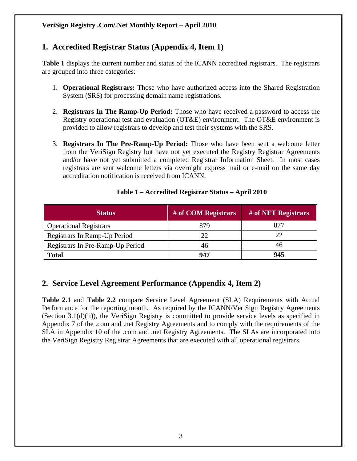#### **1. Accredited Registrar Status (Appendix 4, Item 1)**

**Table 1** displays the current number and status of the ICANN accredited registrars. The registrars are grouped into three categories:

- 1. **Operational Registrars:** Those who have authorized access into the Shared Registration System (SRS) for processing domain name registrations.
- 2. **Registrars In The Ramp-Up Period:** Those who have received a password to access the Registry operational test and evaluation (OT&E) environment. The OT&E environment is provided to allow registrars to develop and test their systems with the SRS.
- 3. **Registrars In The Pre-Ramp-Up Period:** Those who have been sent a welcome letter from the VeriSign Registry but have not yet executed the Registry Registrar Agreements and/or have not yet submitted a completed Registrar Information Sheet. In most cases registrars are sent welcome letters via overnight express mail or e-mail on the same day accreditation notification is received from ICANN.

| <b>Status</b>                    | # of COM Registrars | # of NET Registrars |
|----------------------------------|---------------------|---------------------|
| <b>Operational Registrars</b>    | 879                 | 877                 |
| Registrars In Ramp-Up Period     | 22                  | 22                  |
| Registrars In Pre-Ramp-Up Period | 46                  | 46                  |
| <b>Total</b>                     | 947                 | 945                 |

#### **Table 1 – Accredited Registrar Status – April 2010**

#### **2. Service Level Agreement Performance (Appendix 4, Item 2)**

**Table 2.1** and **Table 2.2** compare Service Level Agreement (SLA) Requirements with Actual Performance for the reporting month. As required by the ICANN/VeriSign Registry Agreements (Section 3.1(d)(ii)), the VeriSign Registry is committed to provide service levels as specified in Appendix 7 of the .com and .net Registry Agreements and to comply with the requirements of the SLA in Appendix 10 of the .com and .net Registry Agreements. The SLAs are incorporated into the VeriSign Registry Registrar Agreements that are executed with all operational registrars.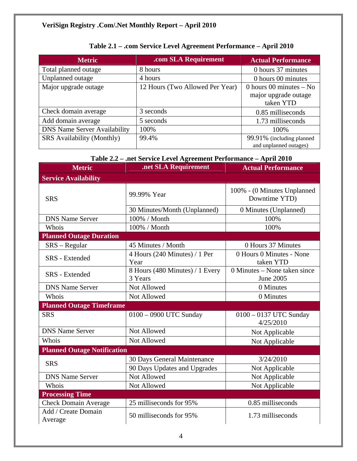| <b>Metric</b>                       | .com SLA Requirement            | <b>Actual Performance</b>                                      |
|-------------------------------------|---------------------------------|----------------------------------------------------------------|
| Total planned outage                | 8 hours                         | 0 hours 37 minutes                                             |
| Unplanned outage                    | 4 hours                         | 0 hours 00 minutes                                             |
| Major upgrade outage                | 12 Hours (Two Allowed Per Year) | 0 hours 00 minutes $-$ No<br>major upgrade outage<br>taken YTD |
| Check domain average                | 3 seconds                       | 0.85 milliseconds                                              |
| Add domain average                  | 5 seconds                       | 1.73 milliseconds                                              |
| <b>DNS Name Server Availability</b> | 100%                            | 100%                                                           |
| <b>SRS</b> Availability (Monthly)   | 99.4%                           | 99.91% (including planned<br>and unplanned outages)            |

#### **Table 2.1 – .com Service Level Agreement Performance – April 2010**

#### **Table 2.2 – .net Service Level Agreement Performance – April 2010**

| <b>Metric</b>                      | .net SLA Requirement                       | <b>Actual Performance</b>                    |  |
|------------------------------------|--------------------------------------------|----------------------------------------------|--|
| <b>Service Availability</b>        |                                            |                                              |  |
| <b>SRS</b>                         | 99.99% Year                                | 100% - (0 Minutes Unplanned<br>Downtime YTD) |  |
|                                    | 30 Minutes/Month (Unplanned)               | 0 Minutes (Unplanned)                        |  |
| <b>DNS Name Server</b>             | 100% / Month                               | 100%                                         |  |
| Whois                              | 100% / Month                               | 100%                                         |  |
| <b>Planned Outage Duration</b>     |                                            |                                              |  |
| $SRS - Regular$                    | 45 Minutes / Month                         | 0 Hours 37 Minutes                           |  |
| SRS - Extended                     | 4 Hours (240 Minutes) / 1 Per<br>Year      | 0 Hours 0 Minutes - None<br>taken YTD        |  |
| <b>SRS</b> - Extended              | 8 Hours (480 Minutes) / 1 Every<br>3 Years | 0 Minutes – None taken since<br>June 2005    |  |
| <b>DNS Name Server</b>             | Not Allowed                                | 0 Minutes                                    |  |
| Whois                              | Not Allowed                                | 0 Minutes                                    |  |
| <b>Planned Outage Timeframe</b>    |                                            |                                              |  |
| <b>SRS</b>                         | 0100 - 0900 UTC Sunday                     | 0100 - 0137 UTC Sunday<br>4/25/2010          |  |
| <b>DNS Name Server</b>             | Not Allowed                                | Not Applicable                               |  |
| Whois                              | Not Allowed                                | Not Applicable                               |  |
| <b>Planned Outage Notification</b> |                                            |                                              |  |
| <b>SRS</b>                         | 30 Days General Maintenance                | 3/24/2010                                    |  |
|                                    | 90 Days Updates and Upgrades               | Not Applicable                               |  |
| <b>DNS Name Server</b>             | Not Allowed                                | Not Applicable                               |  |
| Whois                              | Not Allowed                                | Not Applicable                               |  |
| <b>Processing Time</b>             |                                            |                                              |  |
| <b>Check Domain Average</b>        | 25 milliseconds for 95%                    | 0.85 milliseconds                            |  |
| Add / Create Domain<br>Average     | 50 milliseconds for 95%                    | 1.73 milliseconds                            |  |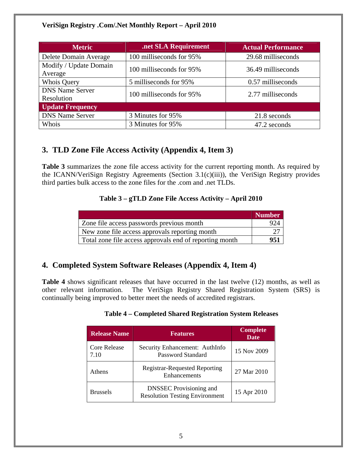| <b>Metric</b>                        | .net SLA Requirement     | <b>Actual Performance</b> |  |
|--------------------------------------|--------------------------|---------------------------|--|
| Delete Domain Average                | 100 milliseconds for 95% | 29.68 milliseconds        |  |
| Modify / Update Domain<br>Average    | 100 milliseconds for 95% | 36.49 milliseconds        |  |
| <b>Whois Query</b>                   | 5 milliseconds for 95%   | 0.57 milliseconds         |  |
| <b>DNS Name Server</b><br>Resolution | 100 milliseconds for 95% | 2.77 milliseconds         |  |
| <b>Update Frequency</b>              |                          |                           |  |
| <b>DNS Name Server</b>               | 3 Minutes for 95%        | 21.8 seconds              |  |
| Whois                                | 3 Minutes for 95%        | 47.2 seconds              |  |

#### **3. TLD Zone File Access Activity (Appendix 4, Item 3)**

**Table 3** summarizes the zone file access activity for the current reporting month. As required by the ICANN/VeriSign Registry Agreements (Section 3.1(c)(iii)), the VeriSign Registry provides third parties bulk access to the zone files for the .com and .net TLDs.

#### **Table 3 – gTLD Zone File Access Activity – April 2010**

|                                                         | <b>Number</b> |
|---------------------------------------------------------|---------------|
| Zone file access passwords previous month               | 924           |
| New zone file access approvals reporting month          |               |
| Total zone file access approvals end of reporting month | 951           |

#### **4. Completed System Software Releases (Appendix 4, Item 4)**

**Table 4** shows significant releases that have occurred in the last twelve (12) months, as well as other relevant information. The VeriSign Registry Shared Registration System (SRS) is continually being improved to better meet the needs of accredited registrars.

| <b>Table 4 – Completed Shared Registration System Releases</b> |  |  |
|----------------------------------------------------------------|--|--|
|                                                                |  |  |

| <b>Release Name</b>         | <b>Features</b>                                                         | <b>Complete</b><br><b>Date</b> |
|-----------------------------|-------------------------------------------------------------------------|--------------------------------|
| <b>Core Release</b><br>7.10 | Security Enhancement: AuthInfo<br><b>Password Standard</b>              | 15 Nov 2009                    |
| Athens                      | <b>Registrar-Requested Reporting</b><br>Enhancements                    | 27 Mar 2010                    |
| <b>Brussels</b>             | <b>DNSSEC</b> Provisioning and<br><b>Resolution Testing Environment</b> | 15 Apr 2010                    |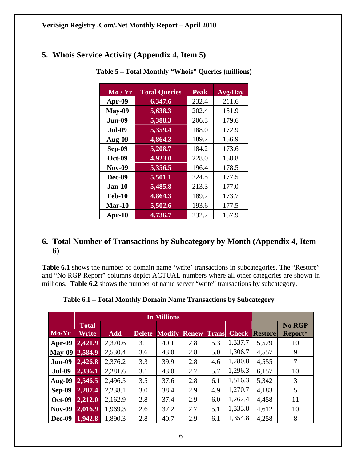#### **5. Whois Service Activity (Appendix 4, Item 5)**

| Mo/Yr         | <b>Total Queries</b> | <b>Peak</b> | <b>Avg/Day</b> |
|---------------|----------------------|-------------|----------------|
| Apr-09        | 6,347.6              | 232.4       | 211.6          |
| $May-09$      | 5,638.3              | 202.4       | 181.9          |
| <b>Jun-09</b> | 5,388.3              | 206.3       | 179.6          |
| <b>Jul-09</b> | 5,359.4              | 188.0       | 172.9          |
| Aug-09        | 4,864.3              | 189.2       | 156.9          |
| Sep-09        | 5,208.7              | 184.2       | 173.6          |
| <b>Oct-09</b> | 4,923.0              | 228.0       | 158.8          |
| <b>Nov-09</b> | 5,356.5              | 196.4       | 178.5          |
| Dec-09        | 5,501.1              | 224.5       | 177.5          |
| $Jan-10$      | 5,485.8              | 213.3       | 177.0          |
| <b>Feb-10</b> | 4,864.3              | 189.2       | 173.7          |
| $Mar-10$      | 5,502.6              | 193.6       | 177.5          |
| $Apr-10$      | 4,736.7              | 232.2       | 157.9          |

 **Table 5 – Total Monthly "Whois" Queries (millions)** 

#### **6. Total Number of Transactions by Subcategory by Month (Appendix 4, Item 6)**

Table 6.1 shows the number of domain name 'write' transactions in subcategories. The "Restore" and "No RGP Report" columns depict ACTUAL numbers where all other categories are shown in millions. **Table 6.2** shows the number of name server "write" transactions by subcategory.

| Mo/Yr         | <b>Total</b><br>Write | <b>Add</b> | <b>Delete</b> | <b>Modify</b> | <b>Renew</b> | <b>Trans</b> | <b>Check</b> | <b>Restore</b> | <b>No RGP</b><br>Report* |
|---------------|-----------------------|------------|---------------|---------------|--------------|--------------|--------------|----------------|--------------------------|
| $Apr-09$      | 2,421.9               | 2,370.6    | 3.1           | 40.1          | 2.8          | 5.3          | 1,337.7      | 5,529          | 10                       |
| <b>May-09</b> | 2,584.9               | 2,530.4    | 3.6           | 43.0          | 2.8          | 5.0          | 1,306.7      | 4,557          | 9                        |
| <b>Jun-09</b> | 2,426.8               | 2,376.2    | 3.3           | 39.9          | 2.8          | 4.6          | 1,280.8      | 4,555          | 7                        |
| <b>Jul-09</b> | 2,336.1               | 2,281.6    | 3.1           | 43.0          | 2.7          | 5.7          | 1,296.3      | 6,157          | 10                       |
| Aug-09        | 2,546.5               | 2,496.5    | 3.5           | 37.6          | 2.8          | 6.1          | 1,516.3      | 5,342          | 3                        |
| <b>Sep-09</b> | 2,287.4               | 2,238.1    | 3.0           | 38.4          | 2.9          | 4.9          | 1,270.7      | 4,183          | 5                        |
| <b>Oct-09</b> | 2,212.0               | 2,162.9    | 2.8           | 37.4          | 2.9          | 6.0          | 1,262.4      | 4,458          | 11                       |
| <b>Nov-09</b> | 2,016.9               | 1,969.3    | 2.6           | 37.2          | 2.7          | 5.1          | 1,333.8      | 4,612          | 10                       |
| <b>Dec-09</b> | 1,942.8               | 1,890.3    | 2.8           | 40.7          | 2.9          | 6.1          | 1,354.8      | 4,258          | 8                        |

**Table 6.1 – Total Monthly Domain Name Transactions by Subcategory**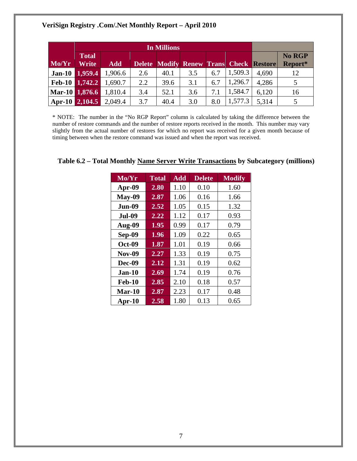|       | <b>Total</b>   |            |     | No RGP |     |     |         |                                                |         |
|-------|----------------|------------|-----|--------|-----|-----|---------|------------------------------------------------|---------|
| Mo/Yr | <b>Write</b>   | <b>Add</b> |     |        |     |     |         | <b>Delete Modify Renew Trans Check Restore</b> | Report* |
|       | Jan-10 1,959.4 | 1,906.6    | 2.6 | 40.1   | 3.5 | 6.7 | 1,509.3 | 4,690                                          | 12      |
|       | Feb-10 1,742.2 | 1,690.7    | 2.2 | 39.6   | 3.1 | 6.7 | 1,296.7 | 4,286                                          | 5       |
|       | Mar-10 1,876.6 | 1,810.4    | 3.4 | 52.1   | 3.6 | 7.1 | 1,584.7 | 6,120                                          | 16      |
|       | Apr-10 2,104.5 | 2,049.4    | 3.7 | 40.4   | 3.0 | 8.0 | 1,577.3 | 5,314                                          | 5       |

\* NOTE: The number in the "No RGP Report" column is calculated by taking the difference between the number of restore commands and the number of restore reports received in the month. This number may vary slightly from the actual number of restores for which no report was received for a given month because of timing between when the restore command was issued and when the report was received.

| $\overline{\text{Mo/Yr}}$ | <b>Total</b> | <b>Add</b> | <b>Delete</b> | <b>Modify</b> |
|---------------------------|--------------|------------|---------------|---------------|
| Apr-09                    | 2.80         | 1.10       | 0.10          | 1.60          |
| <b>May-09</b>             | 2.87         | 1.06       | 0.16          | 1.66          |
| Jun-09                    | 2.52         | 1.05       | 0.15          | 1.32          |
| <b>Jul-09</b>             | 2.22         | 1.12       | 0.17          | 0.93          |
| Aug-09                    | 1.95         | 0.99       | 0.17          | 0.79          |
| <b>Sep-09</b>             | 1.96         | 1.09       | 0.22          | 0.65          |
| <b>Oct-09</b>             | 1.87         | 1.01       | 0.19          | 0.66          |
| <b>Nov-09</b>             | 2.27         | 1.33       | 0.19          | 0.75          |
| Dec-09                    | 2.12         | 1.31       | 0.19          | 0.62          |
| <b>Jan-10</b>             | 2.69         | 1.74       | 0.19          | 0.76          |
| <b>Feb-10</b>             | 2.85         | 2.10       | 0.18          | 0.57          |
| $Mar-10$                  | 2.87         | 2.23       | 0.17          | 0.48          |
| $Apr-10$                  | 2.58         | 1.80       | 0.13          | 0.65          |

#### **Table 6.2 – Total Monthly Name Server Write Transactions by Subcategory (millions)**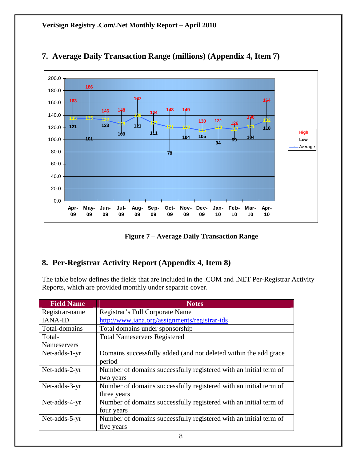

#### **7. Average Daily Transaction Range (millions) (Appendix 4, Item 7)**

**Figure 7 – Average Daily Transaction Range** 

#### **8. Per-Registrar Activity Report (Appendix 4, Item 8)**

The table below defines the fields that are included in the .COM and .NET Per-Registrar Activity Reports, which are provided monthly under separate cover.

| <b>Field Name</b> | <b>Notes</b>                                                      |
|-------------------|-------------------------------------------------------------------|
| Registrar-name    | Registrar's Full Corporate Name                                   |
| <b>IANA-ID</b>    | http://www.iana.org/assignments/registrar-ids                     |
| Total-domains     | Total domains under sponsorship                                   |
| Total-            | <b>Total Nameservers Registered</b>                               |
| Nameservers       |                                                                   |
| Net-adds-1-yr     | Domains successfully added (and not deleted within the add grace  |
|                   | period                                                            |
| Net-adds-2-yr     | Number of domains successfully registered with an initial term of |
|                   | two years                                                         |
| Net-adds-3-yr     | Number of domains successfully registered with an initial term of |
|                   | three years                                                       |
| Net-adds-4-yr     | Number of domains successfully registered with an initial term of |
|                   | four years                                                        |
| Net-adds-5-yr     | Number of domains successfully registered with an initial term of |
|                   | five years                                                        |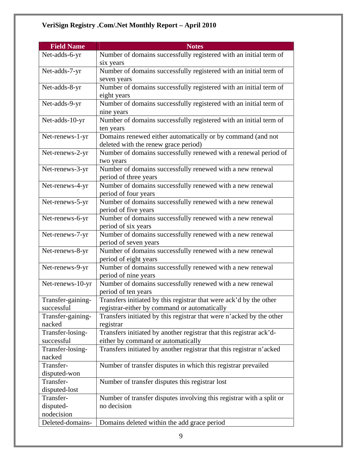| <b>Field Name</b>         | <b>Notes</b>                                                                       |
|---------------------------|------------------------------------------------------------------------------------|
| Net-adds-6-yr             | Number of domains successfully registered with an initial term of                  |
|                           | six years                                                                          |
| Net-adds-7-yr             | Number of domains successfully registered with an initial term of                  |
|                           | seven years                                                                        |
| Net-adds-8-yr             | Number of domains successfully registered with an initial term of                  |
|                           | eight years                                                                        |
| Net-adds-9-yr             | Number of domains successfully registered with an initial term of                  |
| Net-adds-10-yr            | nine years<br>Number of domains successfully registered with an initial term of    |
|                           | ten years                                                                          |
| Net-renews-1-yr           | Domains renewed either automatically or by command (and not                        |
|                           | deleted with the renew grace period)                                               |
| Net-renews-2-yr           | Number of domains successfully renewed with a renewal period of                    |
|                           | two years                                                                          |
| Net-renews-3-yr           | Number of domains successfully renewed with a new renewal                          |
|                           | period of three years                                                              |
| Net-renews-4-yr           | Number of domains successfully renewed with a new renewal                          |
|                           | period of four years                                                               |
| Net-renews-5-yr           | Number of domains successfully renewed with a new renewal                          |
|                           | period of five years                                                               |
| Net-renews-6-yr           | Number of domains successfully renewed with a new renewal                          |
|                           | period of six years                                                                |
| Net-renews-7-yr           | Number of domains successfully renewed with a new renewal                          |
| Net-renews-8-yr           | period of seven years<br>Number of domains successfully renewed with a new renewal |
|                           | period of eight years                                                              |
| Net-renews-9-yr           | Number of domains successfully renewed with a new renewal                          |
|                           | period of nine years                                                               |
| Net-renews-10-yr          | Number of domains successfully renewed with a new renewal                          |
|                           | period of ten years                                                                |
| Transfer-gaining-         | Transfers initiated by this registrar that were ack'd by the other                 |
| successful                | registrar-either by command or automatically                                       |
| Transfer-gaining-         | Transfers initiated by this registrar that were n'acked by the other               |
| nacked                    | registrar                                                                          |
| Transfer-losing-          | Transfers initiated by another registrar that this registrar ack'd-                |
| successful                | either by command or automatically                                                 |
| Transfer-losing-          | Transfers initiated by another registrar that this registrar n'acked               |
| nacked                    |                                                                                    |
| Transfer-                 | Number of transfer disputes in which this registrar prevailed                      |
| disputed-won<br>Transfer- | Number of transfer disputes this registrar lost                                    |
| disputed-lost             |                                                                                    |
| Transfer-                 | Number of transfer disputes involving this registrar with a split or               |
| disputed-                 | no decision                                                                        |
| nodecision                |                                                                                    |
| Deleted-domains-          | Domains deleted within the add grace period                                        |
|                           |                                                                                    |